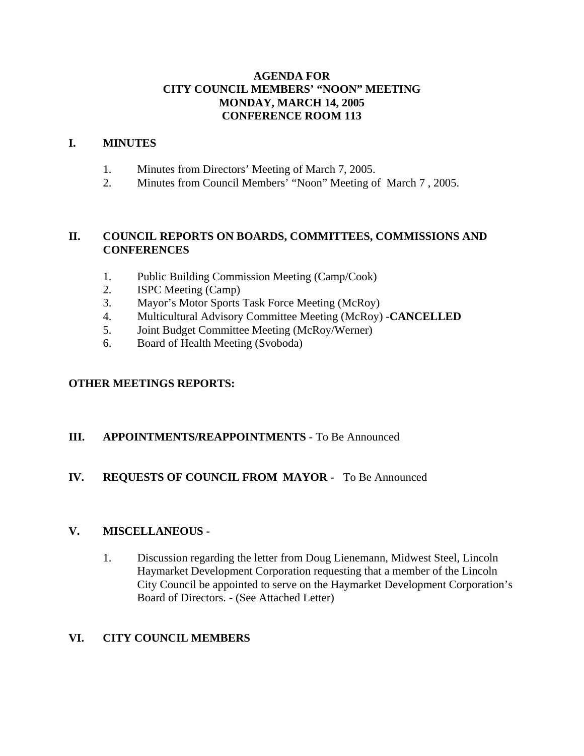## **AGENDA FOR CITY COUNCIL MEMBERS' "NOON" MEETING MONDAY, MARCH 14, 2005 CONFERENCE ROOM 113**

#### **I. MINUTES**

- 1. Minutes from Directors' Meeting of March 7, 2005.
- 2. Minutes from Council Members' "Noon" Meeting of March 7 , 2005.

## **II. COUNCIL REPORTS ON BOARDS, COMMITTEES, COMMISSIONS AND CONFERENCES**

- 1. Public Building Commission Meeting (Camp/Cook)
- 2. ISPC Meeting (Camp)
- 3. Mayor's Motor Sports Task Force Meeting (McRoy)
- 4. Multicultural Advisory Committee Meeting (McRoy) -**CANCELLED**
- 5. Joint Budget Committee Meeting (McRoy/Werner)
- 6. Board of Health Meeting (Svoboda)

## **OTHER MEETINGS REPORTS:**

## **III. APPOINTMENTS/REAPPOINTMENTS** - To Be Announced

## **IV. REQUESTS OF COUNCIL FROM MAYOR -** To Be Announced

## **V. MISCELLANEOUS -**

1. Discussion regarding the letter from Doug Lienemann, Midwest Steel, Lincoln Haymarket Development Corporation requesting that a member of the Lincoln City Council be appointed to serve on the Haymarket Development Corporation's Board of Directors. - (See Attached Letter)

## **VI. CITY COUNCIL MEMBERS**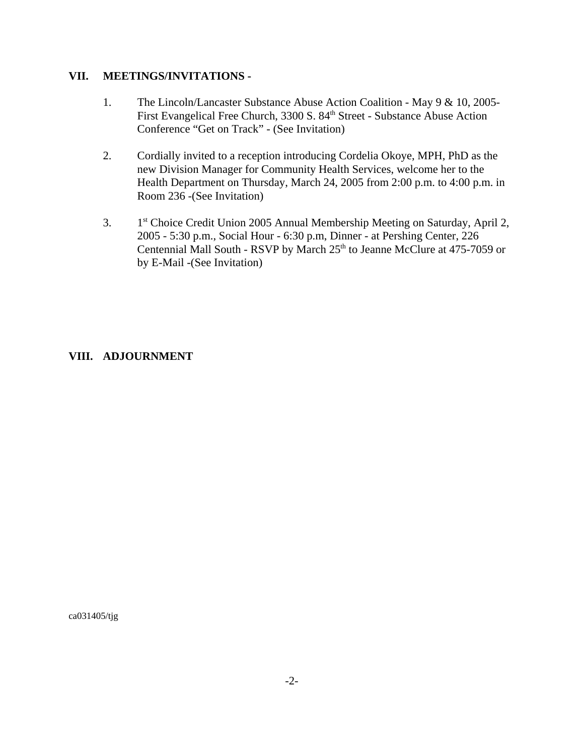#### **VII. MEETINGS/INVITATIONS -**

- 1. The Lincoln/Lancaster Substance Abuse Action Coalition May 9 & 10, 2005- First Evangelical Free Church, 3300 S. 84<sup>th</sup> Street - Substance Abuse Action Conference "Get on Track" - (See Invitation)
- 2. Cordially invited to a reception introducing Cordelia Okoye, MPH, PhD as the new Division Manager for Community Health Services, welcome her to the Health Department on Thursday, March 24, 2005 from 2:00 p.m. to 4:00 p.m. in Room 236 -(See Invitation)
- 3. 1<sup>st</sup> Choice Credit Union 2005 Annual Membership Meeting on Saturday, April 2, 2005 - 5:30 p.m., Social Hour - 6:30 p.m, Dinner - at Pershing Center, 226 Centennial Mall South - RSVP by March 25<sup>th</sup> to Jeanne McClure at 475-7059 or by E-Mail -(See Invitation)

## **VIII. ADJOURNMENT**

ca031405/tjg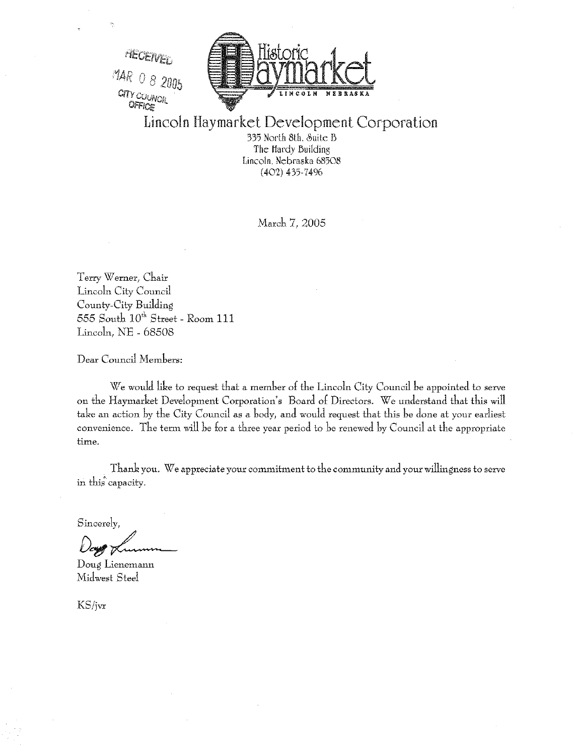

Lincoln Haymarket Development Corporation

335 North 8th, Suite B The Hardy Building Lincoln, Nebraska 68508  $(402)$  435-7496

March 7, 2005

Terry Werner, Chair Lincoln City Council County-City Building 555 South 10<sup>th</sup> Street - Room 111 Lincoln, NE - 68508

Dear Council Members:

We would like to request that a member of the Lincoln City Council be appointed to serve on the Haymarket Development Corporation's Board of Directors. We understand that this will take an action by the City Council as a body, and would request that this be done at your earliest convenience. The term will be for a three year period to be renewed by Council at the appropriate time.

Thank you. We appreciate your commitment to the community and your willingness to serve in this capacity.

Sincerely,

Doug Lienemann Midwest Steel

KS/jvr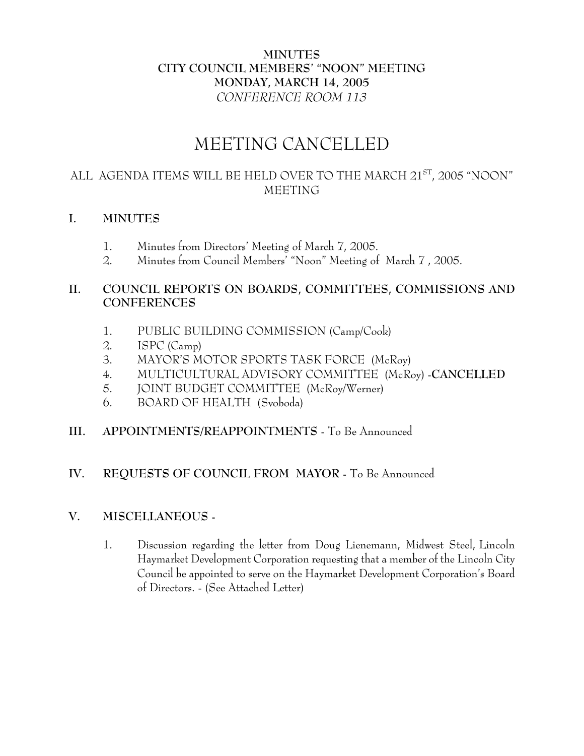# **MINUTES CITY COUNCIL MEMBERS' "NOON" MEETING MONDAY, MARCH 14, 2005** *CONFERENCE ROOM 113*

# MEETING CANCELLED

# ALL AGENDA ITEMS WILL BE HELD OVER TO THE MARCH 21<sup>ST</sup>, 2005 "NOON" MEETING

## **I. MINUTES**

- 1. Minutes from Directors' Meeting of March 7, 2005.
- 2. Minutes from Council Members' "Noon" Meeting of March 7 , 2005.

# **II. COUNCIL REPORTS ON BOARDS, COMMITTEES, COMMISSIONS AND CONFERENCES**

- 1. PUBLIC BUILDING COMMISSION (Camp/Cook)
- 2. ISPC (Camp)
- 3. MAYOR'S MOTOR SPORTS TASK FORCE (McRoy)
- 4. MULTICULTURAL ADVISORY COMMITTEE (McRoy) -**CANCELLED**
- 5. JOINT BUDGET COMMITTEE (McRoy/Werner)
- 6. BOARD OF HEALTH (Svoboda)
- **III. APPOINTMENTS/REAPPOINTMENTS**  To Be Announced

## **IV. REQUESTS OF COUNCIL FROM MAYOR -** To Be Announced

## **V. MISCELLANEOUS -**

1. Discussion regarding the letter from Doug Lienemann, Midwest Steel, Lincoln Haymarket Development Corporation requesting that a member of the Lincoln City Council be appointed to serve on the Haymarket Development Corporation's Board of Directors. - (See Attached Letter)